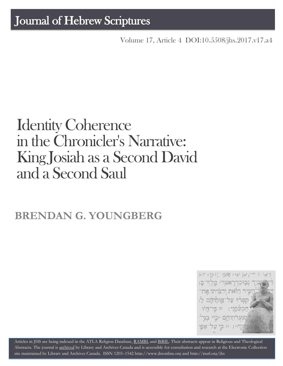## Journal of Hebrew Scriptures

Volume 17, Article 4 [DOI:10.5508/jhs.2017.v17.a4](http://dx.doi.org/10.5508/jhs.2017.v17.a4)

# Identity Coherence in the Chronicler's Narrative: King Josiah as a Second David and a Second Saul

## **BRENDAN G. YOUNGBERG**



Articles in JHS are being indexed in the ATLA Religion Database, [RAMBI,](http://jnul.huji.ac.il/rambi/) and [BiBIL.](http://bibil.net/) Their abstracts appear in Religious and Theological Abstracts. The journal is [archived](http://epe.lac-bac.gc.ca/100/201/300/journal_hebrew/index.html) by Library and Archives Canada and is accessible for consultation and research at the Electronic Collection site maintained by [Library and Archives Canada.](http://collectionscanada.ca/electroniccollection/003008-200-e.html) ISSN 1203–154[2 http://www.jhsonline.org](http://www.jhsonline.org/) and<http://purl.org/jhs>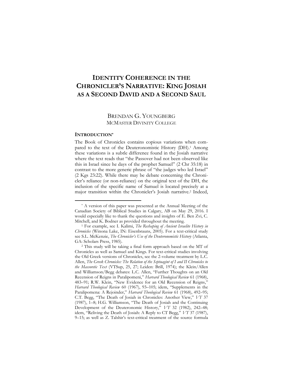### **IDENTITY COHERENCE IN THE CHRONICLER'S NARRATIVE: KING JOSIAH AS A SECOND DAVID AND A SECOND SAUL**

#### BRENDAN G. YOUNGBERG MCMASTER DIVINITY COLLEGE

#### **INTRODUCTION\***

 $\overline{a}$ 

The Book of Chronicles contains copious variations when compared to the text of the Deuteronomistic History (DH).<sup>1</sup> Among these variations is a subtle difference found in the Josiah narrative where the text reads that "the Passover had not been observed like this in Israel since he days of the prophet Samuel" (2 Chr 35:18) in contrast to the more generic phrase of "the judges who led Israel" (2 Kgs 23:22). While there may be debate concerning the Chronicler's reliance (or non-reliance) on the original text of the DH, the inclusion of the specific name of Samuel is located precisely at a major transition within the Chronicler's Josiah narrative.<sup>2</sup> Indeed,

<sup>\*</sup> A version of this paper was presented at the Annual Meeting of the Canadian Society of Biblical Studies in Calgary, AB on May 29, 2016. I would especially like to thank the questions and insights of E. Ben Zvi, C. Mitchell, and K. Bodner as provided throughout the meeting.

<sup>1</sup> For example, see I. Kalimi, *The Reshaping of Ancient Israelite History in Chronicles* (Winona Lake, IN: Eisenbrauns, 2005). For a text-critical study see S.L. McKenzie, *The Chronicler's Use of the Deuteronomistic History* (Atlanta, GA: Scholars Press, 1985).

<sup>2</sup> This study will be taking a final form approach based on the MT of Chronicles as well as Samuel and Kings. For text-critical studies involving the Old Greek versions of Chronicles, see the 2-volume treatment by L.C. Allen, *The Greek Chronicles: The Relation of the Septuagint of I and II Chronicles to the Massoretic Text* (VTSup, 25, 27; Leiden: Brill, 1974); the Klein/Allen and Williamson/Begg debates: L.C. Allen, "Further Thoughts on an Old Recension of Reigns in Paralipomeni," *Harvard Theological Review* 61 (1968), 483–91; R.W. Klein, "New Evidence for an Old Recension of Reigns," *Harvard Theological Review* 60 (1967), 93–105; idem, "Supplements in the Paralipomena: A Rejoinder," *Harvard Theological Review* 61 (1968), 492–95; C.T. Begg, "The Death of Josiah in Chronicles: Another View," *VT* 37 (1987), 1–8; H.G. Williamson, "The Death of Josiah and the Continuing Development of the Deuteronomic History," *VT* 32 (1982), 242–48; idem, "Reliving the Death of Josiah: A Reply to CT Begg," *VT* 37 (1987), 9–15; as well as Z. Talshir's text-critical treatment of the source formula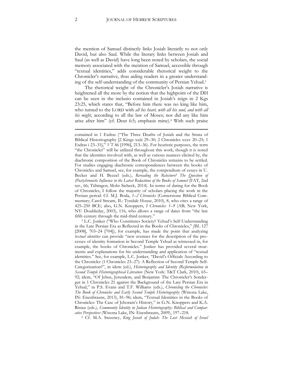the mention of Samuel distinctly links Josiah literarily to not only David, but also Saul. While the literary links between Josiah and Saul (as well as David) have long been noted by scholars, the social memory associated with the mention of Samuel, accessible through "textual identities," adds considerable rhetorical weight to the Chronicler's narrative, thus aiding readers in a greater understanding of the self-understanding of the community of Persian Yehud.<sup>3</sup>

The rhetorical weight of the Chronicler's Josiah narrative is heightened all the more by the notion that the highpoint of the DH can be seen in the inclusio contained in Josiah's reign in 2 Kgs 23:25, which states that, "Before him there was no king like him, who turned to the LORD with *all his heart, with all his soul, and with all his might*, according to all the law of Moses; nor did any like him arise after him" (cf. Deut 6:5; emphasis mine).<sup>4</sup> With such praise

<sup>3</sup> L.C. Jonker ("Who Constitutes Society? Yehud's Self-Understanding in the Late Persian Era as Reflected in the Books of Chronicles," *JBL* 127 [2008], 703–24 [704]), for example, has made the point that analyzing *textual identities* can provide "new avenues for the description of the processes of identity formation in Second Temple Yehud as witnessed in, for example, the books of Chronicles." Jonker has provided several treatments and explanations for his understanding and application of "textual identities." See, for example, L.C. Jonker, "David's Officials According to the Chronicler (1 Chronicles 23–27): A Reflection of Second Temple Self-Categorization?", in idem (ed.), *Historiography and Identity (Re)formulation in Second Temple Historiographical Literature* (New York: T&T Clark, 2010), 65– 92; idem, "Of Jebus, Jerusalem, and Benjamin: The Chronicler's Sondergut in 1 Chronicles 21 against the Background of the Late Persian Era in Yehud," in P.S. Evans and T.F. Williams (eds.), *Chronicling the Chronicler: The Book of Chronicles and Early Second Temple Historiography* (Winona Lake, IN: Eisenbrauns, 2013), 81–96; idem, "Textual Identities in the Books of Chronicles: The Case of Jehoram's History," in G.N. Knoppers and K.A. Ristau (eds.), *Community Identity in Judean Historiography: Biblical and Comparative Perspectives* (Winona Lake, IN: Eisenbrauns, 2009), 197–218.

<sup>4</sup> Cf. M.A. Sweeney, *King Josiah of Judah: The Lost Messiah of Israel*

contained in 1 Esdras ("The Three Deaths of Josiah and the Strata of Biblical Historiography [2 Kings xxiii 29–30; 2 Chronicles xxxv 20–25; 1 Esdras i 23–31]," *VT* 46 [1996], 213–36). For heuristic purposes, the term "the Chronicler" will be utilized throughout this work, though it is noted that the identities involved with, as well as various nuances elicited by, the diachronic composition of the Book of Chronicles remains to be settled. For studies engaging diachronic correspondences between the books of Chronicles and Samuel, see, for example, the compendium of essays in U. Becker and H. Bezzel (eds.), *Rereading the Relecture? The Question of (Post)chronistic Influence in the Latest Redactions of the Books of Samuel* (FAT, 2nd ser., 66; Tübingen; Mohr Siebeck, 2014). In terms of dating for the Book of Chronicles, I follow the majority of scholars placing the work in the Persian period. Cf. M.J. Boda, *1–2 Chronicles* (Cornerstone Biblical Commentary; Carol Stream, IL: Tyndale House, 2010), 8, who cites a range of 425–250 BCE; also, G.N. Knoppers, *I Chronicles: 1–9* (AB; New York, NY: Doubleday, 2003), 116, who allows a range of dates from "the late fifth century through the mid-third century."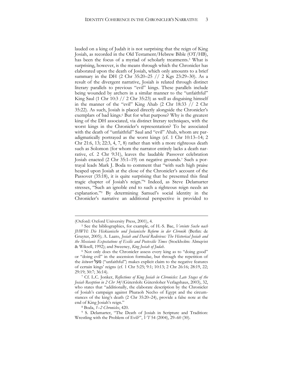lauded on a king of Judah it is not surprising that the reign of King Josiah, as recorded in the Old Testament/Hebrew Bible (OT/HB), has been the focus of a myriad of scholarly treatments.<sup>5</sup> What is surprising, however, is the means through which the Chronicler has elaborated upon the death of Josiah, which only amounts to a brief summary in the DH (2 Chr 35:20–25 // 2 Kgs 23:29–30). As a result of the divergent narrative, Josiah is related through distinct literary parallels to previous "evil" kings. These parallels include being wounded by archers in a similar manner to the "unfaithful" King Saul (1 Chr 10:3  $// 2$  Chr 35:23) as well as disguising himself in the manner of the "evil" King Ahab (2 Chr 18:33 // 2 Chr 35:22). As such, Josiah is placed directly alongside the Chronicler's exemplars of bad kings.<sup>6</sup> But for what purpose? Why is the greatest king of the DH associated, via distinct literary techniques, with the worst kings in the Chronicler's representation? To be associated with the death of "unfaithful" Saul and "evil" Ahab, whom are paradigmatically portrayed as the worst kings (cf. 1 Chr 10:13–14; 2 Chr 21:6, 13; 22:3, 4, 7, 8) rather than with a more righteous death such as Solomon (for whom the narrator entirely lacks a death narrative, cf. 2 Chr 9:31), leaves the laudable Passover celebration Josiah enacted (2 Chr 35:1–19) on negative grounds.<sup>7</sup> Such a portrayal leads Mark J. Boda to comment that "with such high praise heaped upon Josiah at the close of the Chronicler's account of the Passover (35:18), it is quite surprising that he presented this final tragic chapter of Josiah's reign."<sup>8</sup> Indeed, as Steve Delamarter stresses, "Such an ignoble end to such a righteous reign needs an explanation."<sup>9</sup> By determining Samuel's social identity in the Chronicler's narrative an additional perspective is provided to

<sup>(</sup>Oxford: Oxford University Press, 2001), 4.

<sup>5</sup> See the bibliographies, for example, of H.-S. Bae, *Vereinte Suche nach JHWH: Die Hiskianische und Josianische Reform in der Chronik* (Berlin: de Gruyter, 2005); A. Laato, *Josiah and David Redivivus: The Historical Josiah and the Messianic Expectations of Exilic and Postexilic Times* (Stockholm: Almqvist & Wiksell, 1992); and Sweeney, *King Josiah of Judah*.

<sup>6</sup> Not only does the Chronicler assess every king as to "doing good" or "doing evil" in the ascension formulae, but through the repetition of the *leitwort* מעל") unfaithful") makes explicit claim to the negative features of certain kings' reigns (cf. 1 Chr 5:25; 9:1; 10:13; 2 Chr 26:16; 28:19, 22; 29:19; 30:7; 36:14).

<sup>7</sup> Cf. L.C. Jonker, *Reflections of King Josiah in Chronicles: Late Stages of the Josiah Reception in 2 Chr 34f* (Gütersloh: Gütersloher Verlagshaus, 2003), 32, who states that "additionally, the elaborate description by the Chronicler of Josiah's campaign against Pharaoh Necho of Egypt and the circumstances of the king's death (2 Chr 35:20–24), provide a false note at the end of King Josiah's reign."

<sup>8</sup> Boda, *1–2 Chronicles*, 420.

<sup>9</sup> S. Delamarter, "The Death of Josiah in Scripture and Tradition: Wrestling with the Problem of Evil?", *VT* 54 (2004), 29–60 (30).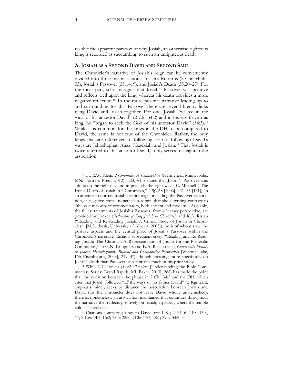resolve the apparent paradox of why Josiah, an otherwise righteous king, is recorded as succumbing to such an unrighteous death.

#### **A. JOSIAH AS A SECOND DAVID AND SECOND SAUL**

The Chronicler's narrative of Josiah's reign can be conveniently divided into three major sections: Josiah's Reforms (2 Chr 34:3b– 33), Josiah's Passover (35:1–19), and Josiah's Death (35:20–27). For the most part, scholars agree that Josiah's Passover was positive and reflects well upon the king, whereas his death provides a more negative reflection.<sup>10</sup> In the more positive narrative leading up to and surrounding Josiah's Passover there are several literary links tying David and Josiah together. For one, Josiah "walked in the ways of his ancestor David" (2 Chr 34:2) and in his eighth year as king, he "began to seek the God of his ancestor David" (34:3).<sup>11</sup> While it is common for the kings in the DH to be compared to David, the same is not true of the Chronicler. Rather, the only kings that are referenced to following (or not following) David's ways are Jehoshaphat, Ahaz, Hezekiah, and Josiah.<sup>12</sup> That Josiah is twice referred to "his ancestor David," only serves to heighten the association.

<sup>10</sup> Cf. R.W. Klein, *2 Chronicles: A Commentary* (Hermeneia; Minneapolis, MN: Fortress Press, 2012), 523, who states that Josiah's Passover was "done on the right day and in precisely the right way". C. Mitchell ("The Ironic Death of Josiah in 2 Chronicles," *CBQ* 68 [2006], 421–35 [431]), in an attempt to portray Josiah's entire reign, including the Passover celebration, in negative terms, nonetheless admits that she is writing contrary to "the vast majority of commentators, both ancient and modern." Arguably, the fullest treatments of Josiah's Passover, from a literary perspective, are provided by Jonker (*Reflections of King Josiah in Chronicles*) and K.A. Ristau ("Reading and Re-Reading Josiah: A Critical Study of Josiah in Chronicles," [M.A. thesis, University of Alberta, 2005]), both of whom state the positive aspects and the central place of Josiah's Passover within the Chronicler's narrative. Ristau's subsequent essay ("Reading and Re-Reading Josiah: The Chronicler's Representation of Josiah for the Postexilic Community," in G.N. Knoppers and K.A. Ristau (eds.), *Community Identity in Judean Historiography: Biblical and Comparative Perspectives* [Winona Lake, IN: Eisenbrauns, 2009], 219–47), though focusing more specifically on Josiah's death than Passover, substantiates much of his prior study.

<sup>11</sup> While L.C. Jonker (*1&2 Chronicles* [Understanding the Bible Commentary Series; Grand Rapids, MI: Baker, 2013], 288) has made the point that the variation between the phrase in 2 Chr 34:2 and the DH, which cites that Josiah followed "*all* the ways of his father David" (2 Kgs 22:2; emphasis mine), seeks to distance the association between Josiah and David (for the Chronicler does not leave David wholly unblemished), there is, nonetheless, an association maintained that continues throughout the narrative that reflects positively on Josiah, especially where the temple cultus is involved.

<sup>12</sup> Citations comparing kings to David are: 1 Kgs 11:4, 6; 14:8; 15:3, 11; 2 Kgs 14:3; 16:2; 18:3; 22:2; 2 Chr 17:3; 28:1; 29:2; 34:2, 3.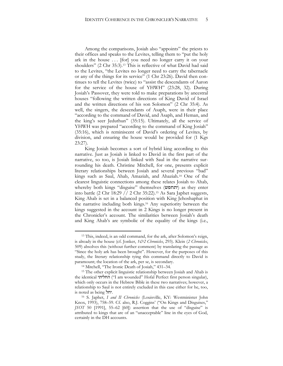Among the comparisons, Josiah also "appoints" the priests to their offices and speaks to the Levites, telling them to "put the holy ark in the house ... [for] you need no longer carry it on your shoulders" (2 Chr 35:3).<sup>13</sup> This is reflective of what David had said to the Levites, "the Levites no longer need to carry the tabernacle or any of the things for its service" (1 Chr 23:26). David then continues to tell the Levites (twice) to "assist the descendants of Aaron for the service of the house of YHWH" (23:28, 32). During Josiah's Passover, they were told to make preparations by ancestral houses "following the written directions of King David of Israel and the written directions of his son Solomon" (2 Chr 35:4). As well, the singers, the descendants of Asaph, were in their place "according to the command of David, and Asaph, and Heman, and the king's seer Jeduthun" (35:15). Ultimately, all the service of YHWH was prepared "according to the command of King Josiah" (35:16), which is reminiscent of David's ordering of Levites, by division, and ensuring the house would be provided for (1 Kgs 23:27).

King Josiah becomes a sort of hybrid king according to this narrative. Just as Josiah is linked to David in the first part of the narrative, so too, is Josiah linked with Saul in the narrative surrounding his death. Christine Mitchell, for one, presents explicit literary relationships between Josiah and several previous "bad" kings such as Saul, Ahab, Amaziah, and Ahaziah.<sup>14</sup> One of the clearest linguistic connections among these relates Josiah to Ahab, whereby both kings "disguise" themselves (יתחפש (as they enter into battle (2 Chr 18:29 // 2 Chr 35:22).<sup>15</sup> As Sara Japhet suggests, King Ahab is set in a balanced position with King Jehoshaphat in the narrative including both kings.<sup>16</sup> Any superiority between the kings suggested in the account in 2 Kings is no longer present in the Chronicler's account. The similarities between Josiah's death and King Ahab's are symbolic of the equality of the kings (i.e.,

<sup>13</sup> This, indeed, is an odd command, for the ark, after Solomon's reign, is already in the house (cf. Jonker, *1&2 Chronicles*, 293). Klein (*2 Chronicles*, 509) absolves this (without further comment) by translating the passage as "Since the holy ark has been brought". However, for the purposes of this study, the literary relationship tying this command directly to David is paramount; the location of the ark, per se, is secondary.

<sup>14</sup> Mitchell, "The Ironic Death of Josiah," 431–34.

<sup>&</sup>lt;sup>15</sup> The other explicit linguistic relationship between Josiah and Ahab is the identical יהחליתי ("I am wounded" Hofal Perfect first person singular), which only occurs in the Hebrew Bible in these two narratives; however, a relationship to Saul is not entirely excluded in this case either for he, too, is noted as being יחל.

<sup>16</sup> S. Japhet, *I and II Chronicles* (Louisville, KY: Westminister John Knox, 1993), 758–59. Cf. also, R.J. Coggins' ("On Kings and Disguises," *JSOT* 50 [1991], 55–62 [60]) assertion that the use of "disguise" is attributed to kings that are of an "unacceptable" line in the eyes of God, certainly in the DH accounts.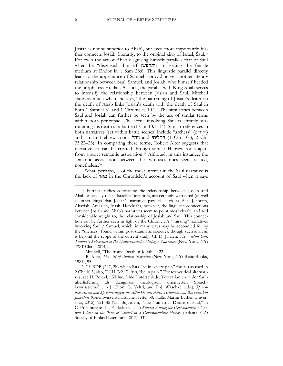Josiah is not so superior to Ahab), but even more importantly further connects Josiah, literarily, to the original king of Israel, Saul.<sup>17</sup> For even the act of Ahab disguising himself parallels that of Saul when he "disguised" himself (יתחפש) in seeking the female medium at Endor in 1 Sam 28:8. This linguistic parallel directly leads to the appearance of Samuel—providing yet another literary relationship between Saul, Samuel, and Josiah, who himself heeded the prophetess Huldah. As such, the parallel with King Ahab serves to intensify the relationship between Josiah and Saul. Mitchell states as much when she says, "the patterning of Josiah's death on the death of Ahab links Josiah's death with the death of Saul in both 1 Samuel 31 and 1 Chronicles 10."<sup>18</sup> The similarities between Saul and Josiah can further be seen by the use of similar terms within both pericopae. The scene involving Saul is entirely surrounding his death at a battle (1 Chr 10:1–14). Similar references in both narratives (set within battle scenes) include "archers" (היורים) and similar Hebrew roots: ויחל and החליתי) 1 Chr 10:3; 2 Chr 35:22–23). In comparing these terms, Robert Alter suggests that narrative art can be created through similar Hebrew roots apart from a strict semantic association.<sup>19</sup> Although in this instance, the semantic association between the two uses does seem related, nonetheless.<sup>20</sup>

What, perhaps, is of the most interest in the Saul narrative is the lack of מאד in the Chronicler's account of Saul when it says

<sup>17</sup> Further studies concerning the relationship between Josiah and Ahab, especially their "Israelite" identities, are certainly warranted (as well as other kings that Josiah's narrative parallels such as Asa, Jehoram, Ahaziah, Amaziah, Joash, Hezekiah), however, the linguistic connections between Josiah and Ahab's narratives seem to point most clearly, and add considerable weight to, the relationship of Josiah and Saul. This connection can be further seen in light of the Chronicler's "missing" narratives involving Saul / Samuel, which, in many ways may be accounted for by the "silences" found within post-traumatic societies, though such analysis is beyond the scope of the current study. Cf. D. Janzen, *The Violent Gift: Trauma's Subversion of the Deuteronomistic History's Narrative* (New York, NY: T&T Clark, 2014).

<sup>18</sup> Mitchell, "The Ironic Death of Josiah," 422.

<sup>19</sup> R. Alter, *The Art of Biblical Narrative* (New York, NY: Basic Books, 1981), 95.

<sup>20</sup> Cf. BDB (297, 2b) which lists "be in severe pain" for חול as used in 2 Chr 10:3; also, DCH (3:212): חיל," be in pain." For text-critical alternatives, see H. Bezzel, "Kleine, feine Unterschiede: Textvarianten in der Saulüberlieferung als Zeugnisse theologisch orientierten Sprachbewusstseins?", in J. Thon, G. Veltri, and E.-J. Waschke (eds.), *Sprachbewusstsein und Sprachkonzepte im Alten Orient, Alten Testament und Rabbinischen Judentum* (Orientwissenschaftliche Hefte, 30; Halle: Martin-Luther-Universität, 2012), 121–42 (135–36); idem, "The Numerous Deaths of Saul," in C. Edenburg and J. Pakkala (eds.), *Is Samuel Among the Deuteronomists? Current Views on the Place of Samuel in a Deuteronomistic History* (Atlanta, GA: Society of Biblical Literature, 2013), 331.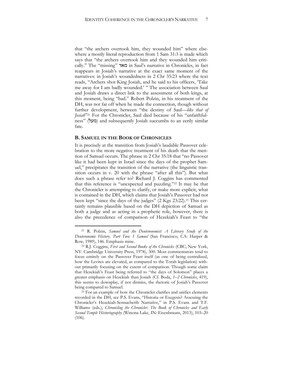that "the archers overtook him, they wounded him" where elsewhere a mostly literal reproduction from 1 Sam 31:3 is made which says that "the archers overtook him and they wounded him critically." The "missing" מאד in Saul's narrative in Chronicles, in fact reappears in Josiah's narrative at the exact same moment of the narratives: in Josiah's woundedness in 2 Chr 35:23 where the text reads, "Archers shot King Josiah, and he said to his officers, 'Take me away for I am badly wounded.' " The association between Saul and Josiah draws a direct link to the assessment of both kings, at this moment, being "bad." Robert Polzin, in his treatment of the DH, was not far off when he made the connection, though without further development, between "the destiny of Saul—*like that of Josiah*" <sup>21</sup> For the Chronicler, Saul died because of his "unfaithfulness" (מעל) and subsequently Josiah succumbs to an eerily similar fate.

#### **B. SAMUEL IN THE BOOK OF CHRONICLES**

 $\overline{a}$ 

It is precisely at the transition from Josiah's laudable Passover celebration to the more negative treatment of his death that the mention of Samuel occurs. The phrase in 2 Chr 35:18 that "no Passover like it had been kept in Israel since the days of the prophet Samuel," precipitates the transition of the narrative (the linguistic transition occurs in v. 20 with the phrase "after all this"). But what does such a phrase refer to? Richard J. Coggins has commented that this reference is "unexpected and puzzling."<sup>22</sup> It may be that the Chronicler is attempting to clarify, or make more explicit, what is contained in the DH, which claims that Josiah's Passover had not been kept "since the days of the judges" (2 Kgs 23:22).<sup>23</sup> This certainly remains plausible based on the DH depiction of Samuel as both a judge and as acting in a prophetic role, however, there is also the precedence of comparison of Hezekiah's Feast to "the

<sup>21</sup> R. Polzin, *Samuel and the Deuteronomist: A Literary Study of the Deuteronomic Histor*y*. Part Two: 1 Samuel* (San Francisco, CA: Harper & Row, 1989), 146. Emphasis mine.

<sup>22</sup> R.J. Coggins, *First and Second Books of the Chronicles* (CBC; New York, NY: Cambridge University Press, 1978), 300. Most commentators tend to focus entirely on the Passover Feast itself (as one of being centralized, how the Levites are elevated, as compared to the Torah legislation) without primarily focusing on the extent of comparison. Though some claim that Hezekiah's Feast being referred to "the days of Solomon" places a greater emphasis on Hezekiah than Josiah (Cf. Boda, *1–2 Chronicles*, 419), this seems to downplay, if not dismiss, the rhetoric of Josiah's Passover being compared to Samuel.

 $23$  For an example of how the Chronicler clarifies and unifies elements recorded in the DH, see P.S. Evans, "Historia or Exegesis? Assessing the Chronicler's Hezekiah-Sennacherib Narrative," in P.S. Evans and T.F. Williams (eds.), *Chronicling the Chronicler: The Book of Chronicles and Early Second Temple Historiography* (Winona Lake, IN: Eisenbrauns, 2013), 103–20 (106).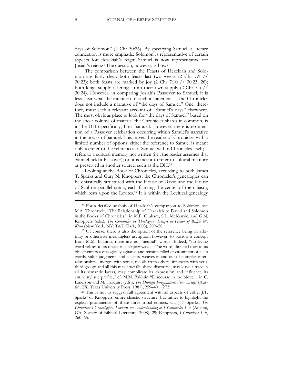days of Solomon" (2 Chr 30:26). By specifying Samuel, a literary connection is more emphatic: Solomon is representative of certain aspects for Hezekiah's reign; Samuel is now representative for Josiah's reign.<sup>24</sup> The question, however, is how?

The comparison between the Feasts of Hezekiah and Solomon are fairly clear: both feasts last two weeks (2 Chr 7:9 // 30:23); both feasts are marked by joy (2 Chr 7:10 // 30:23, 26); both kings supply offerings from their own supply (2 Chr 7:5 // 30:24). However, in comparing Josiah's Passover to Samuel, it is less clear what the intention of such a statement is: the Chronicler does not include a narrative of "the days of Samuel." One, therefore, must seek a relevant account of "Samuel's days" elsewhere. The most obvious place to look for "the days of Samuel," based on the sheer volume of material the Chronicler shares in common, is in the DH (specifically, First Samuel). However, there is no mention of a Passover celebration occurring within Samuel's narrative in the books of Samuel. This leaves the reader of Chronicles with a limited number of options: either the reference to Samuel is meant only to refer to the references of Samuel within Chronicles itself; it refers to a cultural memory not written (i.e., the reader assumes that Samuel held a Passover); or, it is meant to refer to cultural memory as preserved in another source, such as the DH.<sup>25</sup>

Looking at the Book of Chronicles, according to both James T. Sparks and Gary N. Knoppers, the Chronicler's genealogies can be chiastically structured with the House of David and the House of Saul on parallel strata, each flanking the center of the chiasm, which rests upon the Levites.<sup>26</sup> It is within the Levitical genealogy

<sup>24</sup> For a detailed analysis of Hezekiah's comparison to Solomon, see M.A. Throntveit, "The Relationship of Hezekiah to David and Solomon in the Books of Chronicles," in M.P. Graham, S.L. McKenzie, and G.N. Knoppers (eds.), *The Chronicler as Theologian: Essays in Honor of Ralph W. Klein* (New York, NY: T&T Clark, 2003), 209–28.

<sup>25</sup> Of course, there is also the option of the reference being an arbitrary or otherwise meaningless ascription; however, to borrow a concept from M.M. Bakhtin, there are no "neutral" words. Indeed, "no living word relates to its object in a *singular* way. . . The word, directed toward its object enters a dialogically agitated and tension-filled environment of alien words, value judgments and accents, weaves in and out of complex interrelationships, merges with some, recoils from others, intersects with yet a third group: and all this may crucially shape discourse, may leave a trace in all its semantic layers, may complicate its expression and influence its entire stylistic profile," cf. M.M. Bakhtin "Discourse in the Novel," in C. Emerson and M. Holquist (eds.), *The Dialogic Imagination: Four Essays* (Austin, TX: Texas University Press, 1981), 259–401 (272).

<sup>26</sup> This is not to suggest full agreement with all aspects of either J.T. Sparks' or Knoppers' entire chiastic structure, but rather to highlight the explicit prominence of these three tribal entities. Cf. J.T. Sparks, *The Chronicler's Genealogies: Towards an Understanding of 1 Chronicles 1*–*9* (Atlanta, GA: Society of Biblical Literature, 2008), 29; Knoppers, *I Chronicles 1*–*9*, 260–65.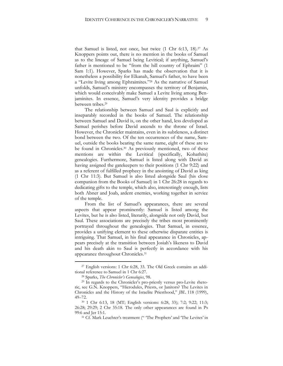that Samuel is listed, not once, but twice (1 Chr 6:13, 18).<sup>27</sup> As Knoppers points out, there is no mention in the books of Samuel as to the lineage of Samuel being Levitical; if anything, Samuel's father is mentioned to be "from the hill country of Ephraim" (1 Sam 1:1). However, Sparks has made the observation that it is nonetheless a possibility for Elkanah, Samuel's father, to have been a "Levite living among Ephraimites."<sup>28</sup> As the narrative of Samuel unfolds, Samuel's ministry encompasses the territory of Benjamin, which would conceivably make Samuel a Levite living among Benjaminites. In essence, Samuel's very identity provides a bridge between tribes.<sup>29</sup>

The relationship between Samuel and Saul is explicitly and inseparably recorded in the books of Samuel. The relationship between Samuel and David is, on the other hand, less developed as Samuel perishes before David ascends to the throne of Israel. However, the Chronicler maintains, even in its subtleness, a distinct bond between the two. Of the ten occurrences of the name, Samuel, outside the books bearing the same name, eight of these are to be found in Chronicles.<sup>30</sup> As previously mentioned, two of these mentions are within the Levitical (specifically, Kohathite) genealogies. Furthermore, Samuel is listed along with David as having assigned the gatekeepers to their positions (1 Chr 9:22) and as a referent of fulfilled prophecy in the anointing of David as king (1 Chr 11:3). But Samuel is also listed alongside Saul (his close companion from the Books of Samuel) in 1 Chr 26:28 in regards to dedicating gifts to the temple, which also, interestingly enough, lists both Abner and Joab, ardent enemies, working together in service of the temple.

From the list of Samuel's appearances, there are several aspects that appear prominently: Samuel is listed among the Levites, but he is also listed, literarily, alongside not only David, but Saul. These associations are precisely the tribes most prominently portrayed throughout the genealogies. That Samuel, in essence, provides a unifying element to these otherwise disparate entities is intriguing. That Samuel, in his final appearance in Chronicles, appears precisely at the transition between Josiah's likeness to David and his death akin to Saul is perfectly in accordance with his appearance throughout Chronicles.<sup>31</sup>

<sup>27</sup> English versions: 1 Chr 6:28, 33. The Old Greek contains an additional reference to Samuel in 1 Chr 6:27.

<sup>28</sup> Sparks, *The Chronicler's Genealogies*, 98.

<sup>29</sup> In regards to the Chronicler's pro-priestly versus pro-Levite rhetoric, see G.N. Knoppers, "Hierodules, Priests, or Janitors? The Levites in Chronicles and the History of the Israelite Priesthood," *JBL* 118 (1999), 49–72.

<sup>30</sup> 1 Chr 6:13, 18 (MT; English versions: 6:28, 33); 7:2; 9:22; 11:3; 26:28; 29:29; 2 Chr 35:18. The only other appearances are found in Ps 99:6 and Jer 15:1.

<sup>&</sup>lt;sup>31</sup> Cf. Mark Leuchter's treatment (" 'The Prophets' and 'The Levites' in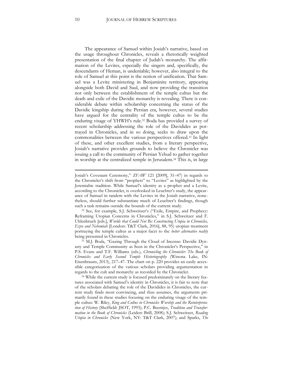The appearance of Samuel within Josiah's narrative, based on the usage throughout Chronicles, reveals a rhetorically weighted presentation of the final chapter of Judah's monarchy. The affirmation of the Levites, especially the singers and, specifically, the descendants of Heman, is undeniable; however, also integral to the role of Samuel at this point is the notion of unification. That Samuel was a Levite ministering in Benjaminite territory, appearing alongside both David and Saul, and now providing the transition not only between the establishment of the temple cultus but the death and exile of the Davidic monarchy is revealing. There is considerable debate within scholarship concerning the status of the Davidic kingship during the Persian era, however, several studies have argued for the centrality of the temple cultus to be the enduring visage of YHWH's rule.<sup>32</sup> Boda has provided a survey of recent scholarship addressing the role of the Davidides as portrayed in Chronicles, and in so doing, seeks to draw upon the commonalities between the various perspectives offered.<sup>33</sup> In light of these, and other excellent studies, from a literary perspective, Josiah's narrative provides grounds to believe the Chronicler was issuing a call to the community of Persian Yehud to gather together in worship at the centralized temple in Jerusalem.<sup>34</sup> This is, in large

Josiah's Covenant Ceremony," *ZFAW* 121 [2009], 31–47) in regards to the Chronicler's shift from "prophets" to "Levites" as highlighted by the Jeremiahic tradition. While Samuel's identity as a prophet and a Levite, according to the Chronicler, is overlooked in Leuchter's study, the appearance of Samuel in tandem with the Levites in the Josiah narrative, nonetheless, should further substantiate much of Leuchter's findings, though such a task remains outside the bounds of the current study.

<sup>32</sup> See, for example, S.J. Schweitzer's ("Exile, Empire, and Prophecy: Reframing Utopian Concerns in Chronicles," in S.J. Schweitzer and F. Uhlenbruch [eds.], *Worlds that Could Not Be: Constructing Utopia in Chronicles, Ezra and Nehemiah* [London: T&T Clark, 2016], 88, 95) utopian treatment portraying the temple cultus as a major facet to the *better alternative reality* being presented in Chronicles.

<sup>33</sup> M.J. Boda, "Gazing Through the Cloud of Incense: Davidic Dynasty and Temple Community as Seen in the Chronicler's Perspective," in P.S. Evans and T.F. Williams (eds.), *Chronicling the Chronicler: The Book of Chronicles and Early Second Temple Historiography* (Winona Lake, IN: Eisenbrauns, 2013), 217–47. The chart on p. 220 provides an easily accessible categorization of the various scholars providing argumentation in regards to the cult and monarchy as recorded by the Chronicler.

<sup>&</sup>lt;sup>34</sup> While the current study is focused predominately on the literary features associated with Samuel's identity in Chronicles, it is fair to note that of the scholars debating the role of the Davidides in Chronicles, the current study finds most convincing, and thus assumes, the arguments primarily found in these studies focusing on the enduring visage of the temple cultus: W. Riley, *King and Cultus in Chronicles Worship and the Reinterpretation of History* (Sheffield: JSOT, 1993); P.C. Beentjes, *Tradition and Transformation in the Book of Chronicles* (Leiden: Brill, 2008); S.J. Schweitzer, *Reading Utopia in Chronicles* (New York, NY: T&T Clark, 2007); and Sparks, *The*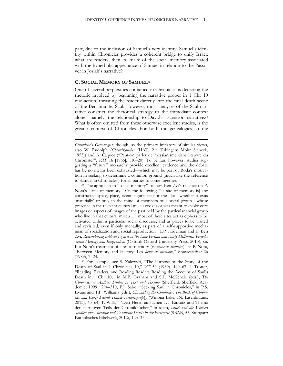part, due to the inclusion of Samuel's very identity: Samuel's identity within Chronicles provides a coherent bridge to unify Israel; what are readers, then, to make of the social memory associated with the hyperbolic appearance of Samuel in relation to the Passover in Josiah's narrative?

#### **C. SOCIAL MEMORY OF SAMUEL<sup>35</sup>**

.

One of several perplexities contained in Chronicles is detecting the rhetoric involved by beginning the narrative proper in 1 Chr 10 mid-action, thrusting the reader directly into the final death scene of the Benjaminite, Saul. However, most analyses of the Saul narrative constrict the rhetorical strategy to the immediate context alone—namely, the relationship to David's ascension narrative.<sup>36</sup> What is often omitted from these otherwise excellent studies, is the greater context of Chronicles. For both the genealogies, at the

*Chronicler's Genealogies*; though, as the primary initiators of similar views, also W. Rudolph (*Chronikbücher* [HAT, 21; Tübingen: Mohr Siebeck, 1955]) and A. Caquot ("Peut-on parler de messianisme dans l'œuvre du Chroniste?", *RTP* 16 [1966], 110–20). To be fair, however, studies suggesting a "future" monarchy provide excellent evidence and the debate has by no means been exhausted—which may be part of Boda's motivation in seeking to determine a common ground (much like the reference to Samuel in Chronicles!) for all parties to come together.

<sup>&</sup>lt;sup>35</sup> The approach to "social memory" follows Ben Zvi's reliance on P. Nora's "sites of memory." Cf. the following: "[a site of memory is] any constructed space, place, event, figure, text or the like—whether it exits 'materially' or only in the mind of members of a social group—whose presence in the relevant cultural milieu evokes or was meant to evoke core images or aspects of images of the past held by the particular social group who live in that cultural milieu . . . most of these sites act as ciphers to be activated within a particular social discourse, and as places to be visited and revisited, even if only mentally, as part of a self-supportive mechanism of socialization and social reproduction." D.V. Edelman and E. Ben Zvi, *Remembering Biblical Figures in the Late Persian and Early Hellenistic Periods: Social Memory and Imagination* (Oxford: Oxford University Press, 2013), xii. For Nora's treatment of sites of memory (*les lieux de memoire*) see P. Nora, "Between Memory and History: Les *lieux de memoire*," *Representations* 26 (1989), 7–24.

<sup>&</sup>lt;sup>36</sup> For example, see S. Zalewski, "The Purpose of the Story of the Death of Saul in 1 Chronicles 10," *VT* 39 (1989), 449–67; J. Trotter, "Reading, Readers, and Reading Readers Reading the Account of Saul's Death in 1 Chr 10," in M.P. Graham and S.L. McKenzie (eds.), *The Chronicler as Author: Studies in Text and Texture* (Sheffield: Sheffield Academic, 1999), 294–310; P.J. Sabo, "Seeking Saul in Chronicles," in P.S. Evans and T.F. Williams (eds.), *Chronicling the Chronicler: The Book of Chronicles and Early Second Temple Historiography* (Winona Lake, IN: Eisenbrauns, 2013), 43-64; T. Willi, " Den Herrn aufsuchen . . . ' Einsatz und Thema den narrativen Teils der Chronikbücher," in idem, *Israel und die Völker*: *Studien zur Literatur und Geschichte Israels in der Perserzeit* (SBAB, 55; Stuttgart: Katholisches Bibelwerk, 2012), 123–35.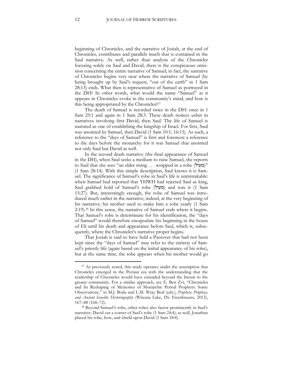beginning of Chronicles, and the narrative of Josiah, at the end of Chronicles, contributes and parallels much that is contained in the Saul narrative. As well, rather than analysis of the Chronicler focusing solely on Saul and David, there is the conspicuous omission concerning the entire narrative of Samuel; in fact, the narrative of Chronicles begins very near where the narrative of Samuel (by being brought up by Saul's request, "out of the earth" in 1 Sam 28:13) ends. What then is representative of Samuel as portrayed in the DH? In other words, what would the name "Samuel" as it appears in Chronicles evoke in the community's mind, and how is this being appropriated by the Chronicler?<sup>37</sup>

The death of Samuel is recorded twice in the DH: once in 1 Sam 25:1 and again in 1 Sam 28:3. These death notices usher in narratives involving first David, then Saul. The life of Samuel is narrated as one of establishing the kingship of Israel. For first, Saul was anointed by Samuel, then David (1 Sam 10:1; 16:13). As such, a reference to the "days of Samuel" is first and foremost a reference to the days before the monarchy for it was Samuel that anointed not only Saul but David as well.

In the second death narrative (the final appearance of Samuel in the DH), when Saul seeks a medium to raise Samuel, she reports to Saul that she sees "an elder rising . . . wrapped in a robe (מעיל)" (1 Sam 28:14). With this simple description, Saul knows it is Samuel. The significance of Samuel's robe in Saul's life is unmistakable: when Samuel had reported that YHWH had rejected Saul as king, Saul grabbed hold of Samuel's robe (מעיל) and tore it (1 Sam 15:27). But, interestingly enough, the robe of Samuel was introduced much earlier in the narrative, indeed, at the very beginning of his narrative: his mother used to make him a robe yearly (1 Sam 2:19).<sup>38</sup> In this sense, the narrative of Samuel ends where it begins. That Samuel's robe is determinate for his identification, the "days of Samuel" would therefore encapsulate his beginning in the house of Eli until his death and appearance before Saul, which is, subsequently, where the Chronicler's narrative proper begins.

That Josiah is said to have held a Passover that had not been kept since the "days of Samuel" may refer to the entirety of Samuel's priestly life (again based on the initial appearance of his robe), but at the same time, the robe appears when his mother would go

<sup>&</sup>lt;sup>37</sup> As previously noted, this study operates under the assumption that Chronicles emerged in the Persian era with the understanding that the readership of Chronicles would have extended beyond the literati to the greater community. For a similar approach, see E. Ben Zvi, "Chronicles and Its Reshaping of Memories of Monarchic Period Prophets: Some Observations," in M.J. Boda and L.M. Wray Beal (eds.), *Prophets, Prophecy, and Ancient Israelite Historiography* (Winona Lake, IN: Eisenbrauns, 2013), 167–88 (168–72).

<sup>38</sup> Beyond Samuel's robe, other robes also factor prominently in Saul's narrative: David cut a corner of Saul's robe (1 Sam 24:4); as well, Jonathan placed his robe, bow, and shield upon David (1 Sam 18:4).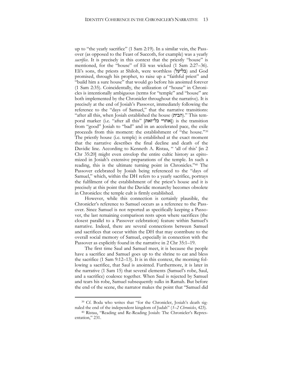up to "the yearly sacrifice" (1 Sam 2:19). In a similar vein, the Passover (as opposed to the Feast of Succoth, for example) was a yearly *sacrifice*. It is precisely in this context that the priestly "house" is mentioned, for the "house" of Eli was wicked (1 Sam 2:27–36). Eli's sons, the priests at Shiloh, were worthless (בליעל) and God promised, through his prophet, to raise up a "faithful priest" and "build him a sure house" that would go before his anointed forever (1 Sam 2:35). Coincidentally, the utilization of "house" in Chronicles is intentionally ambiguous (terms for "temple" and "house" are both implemented by the Chronicler throughout the narrative). It is precisely at the end of Josiah's Passover, immediately following the reference to the "days of Samuel," that the narrative transitions: "after all this, when Josiah established the house (הבית)." This temporal marker (i.e. "after all this" [אחרי כל־זאת]) is the transition from "good" Josiah to "bad" and in an accelerated pace, the exile proceeds from this moment: the establishment of "the house."<sup>39</sup> The priestly house (i.e. temple) is established at the exact moment that the narrative describes the final decline and death of the Davidic line. According to Kenneth A. Ristau, " 'all of this' [in 2 Chr 35:20] might even envelop the entire cultic history as epitomized in Josiah's extensive preparations of the temple. In such a reading, this is the ultimate turning point in Chronicles."<sup>40</sup> The Passover celebrated by Josiah being referenced to the "days of Samuel," which, within the DH refers to a yearly sacrifice, portrays the fulfilment of the establishment of the priest's house and it is precisely at this point that the Davidic monarchy becomes obsolete in Chronicles: the temple cult is firmly established.

However, while this connection is certainly plausible, the Chronicler's reference to Samuel occurs as a reference to the Passover. Since Samuel is not reported as specifically keeping a Passover, the last remaining comparison rests upon where sacrifices (the closest parallel to a Passover celebration) feature within Samuel's narrative. Indeed, there are several connections between Samuel and sacrifices that occur within the DH that may contribute to the overall social memory of Samuel, especially in connection with the Passover as explicitly found in the narrative in 2 Chr 35:1–19.

The first time Saul and Samuel meet, it is because the people have a sacrifice and Samuel goes up to the shrine to eat and bless the sacrifice (1 Sam 9:12–13). It is in this context, the morning following a sacrifice, that Saul is anointed. Furthermore, it is later in the narrative (1 Sam 15) that several elements (Samuel's robe, Saul, and a sacrifice) coalesce together. When Saul is rejected by Samuel and tears his robe, Samuel subsequently sulks in Ramah. But before the end of the scene, the narrator makes the point that "Samuel did

<sup>39</sup> Cf. Boda who writes that "for the Chronicler, Josiah's death signaled the end of the independent kingdom of Judah" (*1–2 Chronicles*, 423).

<sup>40</sup> Ristau, "Reading and Re-Reading Josiah: The Chronicler's Representation," 231.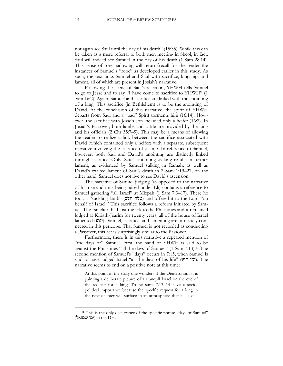not again see Saul until the day of his death" (15:35). While this can be taken as a mere referral to both men meeting in Sheol, in fact, Saul will indeed see Samuel in the day of his death (1 Sam 28:14). This sense of foreshadowing will return/recall for the reader the instances of Samuel's "robe" as developed earlier in this study. As such, the text links Samuel and Saul with sacrifice, kingship, and lament, all of which are present in Josiah's narrative.

Following the scene of Saul's rejection, YHWH tells Samuel to go to Jesse and to say "I have come to sacrifice to YHWH" (1 Sam 16:2). Again, Samuel and sacrifice are linked with the anointing of a king. This sacrifice (in Bethlehem) is to be the anointing of David. At the conclusion of this narrative, the spirit of YHWH departs from Saul and a "bad" Spirit torments him (16:14). However, the sacrifice with Jesse's son included only a heifer (16:2). In Josiah's Passover, both lambs and cattle are provided by the king and his officials (2 Chr 35:7–9). This may be a means of allowing the reader to realize a link between the sacrifice associated with David (which contained only a heifer) with a separate, subsequent narrative involving the sacrifice of a lamb. In reference to Samuel, however, both Saul and David's anointing are distinctly linked through sacrifice. Only, Saul's anointing as king results in further lament, as evidenced by Samuel sulking in Ramah, as well as David's exalted lament of Saul's death in 2 Sam 1:19–27; on the other hand, Samuel does not live to see David's ascension.

The narrative of Samuel judging (as opposed to the narrative of his rise and thus being raised under Eli) contains a reference to Samuel gathering "all Israel" at Mizpah (1 Sam 7:3–17). There he took a "suckling lamb" (טלה חלב) and offered it to the Lord "on behalf of Israel." This sacrifice follows a reform initiated by Samuel. The Israelites had lost the ark to the Philistines and it remained lodged at Kiriath-Jearim for twenty years; all of the house of Israel lamented (ינהו). Samuel, sacrifice, and lamenting are intricately connected in this pericope. That Samuel is not recorded as conducting a Passover, this act is surprisingly similar to the Passover.

Furthermore, there is in this narrative a repeated mention of "the days of" Samuel. First, the hand of YHWH is said to be against the Philistines "all the days of Samuel" (1 Sam 7:13).<sup>41</sup> The second mention of Samuel's "days" occurs in 7:15, when Samuel is said to have judged Israel "all the days of his life" (ימי חייו). The narrative seems to end on a positive note at this time:

At this point in the story one wonders if the Deuteronomist is painting a deliberate picture of a tranquil Israel on the eve of the request for a king. To be sure, 7.13–14 have a sociopolitical importance because the specific request for a king in the next chapter will surface in an atmosphere that has a dis-

<sup>&</sup>lt;sup>41</sup> This is the only occurrence of the specific phrase "days of Samuel"  $($ ימי שמואל) in the DH.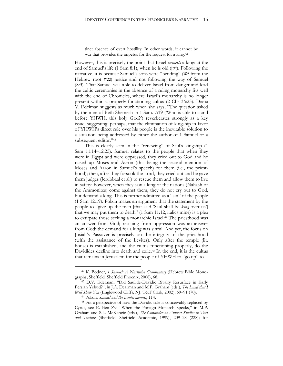tinct absence of overt hostility. In other words, it cannot be war that provides the impetus for the request for a king.<sup>42</sup>

However, this is precisely the point that Israel *requests* a king: at the end of Samuel's life (1 Sam 8:1), when he is old (זקן). Following the narrative, it is because Samuel's sons were "bending" (יטו from the Hebrew root (נטה) justice and not following the way of Samuel (8:3). That Samuel was able to deliver Israel from danger and lead the cultic ceremonies in the absence of a ruling monarchy fits well with the end of Chronicles, where Israel's monarchy is no longer present within a properly functioning cultus (2 Chr 36:23). Diana V. Edelman suggests as much when she says, "The question asked by the men of Beth Shemesh in 1 Sam. 7:19 ('Who is able to stand before YHWH, this holy God?') reverberates strongly as a key issue, suggesting, perhaps, that the elimination of kingship in favor of YHWH's direct rule over his people is the inevitable solution to a situation being addressed by either the author of 1 Samuel or a subsequent editor."<sup>43</sup>

This is clearly seen in the "renewing" of Saul's kingship (1 Sam 11:14–12:25). Samuel relates to the people that when they were in Egypt and were oppressed, they cried out to God and he raised up Moses and Aaron (this being the second mention of Moses and Aaron in Samuel's speech) for them (i.e., the priesthood); then, after they forsook the Lord, they cried out and he gave them judges (Jerubbaal et al.) to rescue them and allow them to live in safety; however, when they saw a king of the nations (Nahash of the Ammonites) come against them, they do not cry out to God, but demand a king. This is further admitted as a "sin" of the people (1 Sam 12:19). Polzin makes an argument that the statement by the people to "give up the men [that said 'Saul shall be *king* over us'] that we may put them to death" (1 Sam 11:12, italics mine) is a plea to extirpate those seeking a monarchic Israel.<sup>44</sup> The priesthood was an answer from God; rescuing from oppression was an answer from God; the demand for a king was sinful. And yet, the focus on Josiah's Passover is precisely on the integrity of the priesthood (with the assistance of the Levites). Only after the temple (lit. house) is established, and the cultus functioning properly, do the Davidides decline into death and exile.<sup>45</sup> In the end, it is the cultus that remains in Jerusalem for the people of YHWH to "go up" to.

<sup>42</sup> K. Bodner, *1 Samuel: A Narrative Commentary* (Hebrew Bible Monographs; Sheffield: Sheffield Phoenix, 2008), 68.

<sup>43</sup> D.V. Edelman, "Did Saulide-Davidic Rivalry Resurface in Early Persian Yehud?", in J.A. Dearman and M.P. Graham (eds.), *The Land that I Will Show You* (Englewood Cliffs, NJ: T&T Clark, 2002), 69–91 (70).

<sup>44</sup> Polzin, *Samuel and the Deuteronomist*, 114.

<sup>45</sup> For a perspective of how the Davidic role is conceivably replaced by Cyrus, see E. Ben Zvi "When the Foreign Monarch Speaks," in M.P. Graham and S.L. McKenzie (eds.), *The Chronicler as Author: Studies in Text and Texture* (Sheffield: Sheffield Academic, 1999), 209–28 (228); for